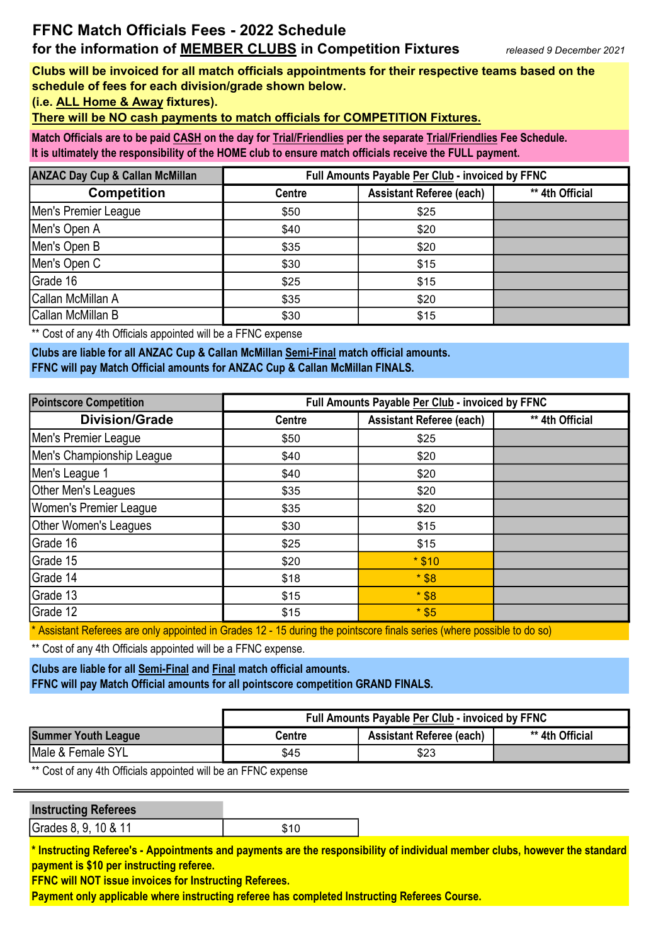## FFNC Match Officials Fees - 2022 Schedule for the information of MEMBER CLUBS in Competition Fixtures

Clubs will be invoiced for all match officials appointments for their respective teams based on the schedule of fees for each division/grade shown below.

(i.e. ALL Home & Away fixtures).

There will be NO cash payments to match officials for COMPETITION Fixtures.

Match Officials are to be paid CASH on the day for Trial/Friendlies per the separate Trial/Friendlies Fee Schedule. It is ultimately the responsibility of the HOME club to ensure match officials receive the FULL payment.

| <b>ANZAC Day Cup &amp; Callan McMillan</b> | Full Amounts Payable Per Club - invoiced by FFNC |                                 |                 |
|--------------------------------------------|--------------------------------------------------|---------------------------------|-----------------|
| <b>Competition</b>                         | <b>Centre</b>                                    | <b>Assistant Referee (each)</b> | ** 4th Official |
| Men's Premier League                       | \$50                                             | \$25                            |                 |
| Men's Open A                               | \$40                                             | \$20                            |                 |
| Men's Open B                               | \$35                                             | \$20                            |                 |
| Men's Open C                               | \$30                                             | \$15                            |                 |
| Grade 16                                   | \$25                                             | \$15                            |                 |
| Callan McMillan A                          | \$35                                             | \$20                            |                 |
| Callan McMillan B                          | \$30                                             | \$15                            |                 |

\*\* Cost of any 4th Officials appointed will be a FFNC expense

Clubs are liable for all ANZAC Cup & Callan McMillan Semi-Final match official amounts. FFNC will pay Match Official amounts for ANZAC Cup & Callan McMillan FINALS.

| <b>Pointscore Competition</b> | Full Amounts Payable Per Club - invoiced by FFNC |                                 |                 |
|-------------------------------|--------------------------------------------------|---------------------------------|-----------------|
| <b>Division/Grade</b>         | <b>Centre</b>                                    | <b>Assistant Referee (each)</b> | ** 4th Official |
| Men's Premier League          | \$50                                             | \$25                            |                 |
| Men's Championship League     | \$40                                             | \$20                            |                 |
| Men's League 1                | \$40                                             | \$20                            |                 |
| Other Men's Leagues           | \$35                                             | \$20                            |                 |
| Women's Premier League        | \$35                                             | \$20                            |                 |
| Other Women's Leagues         | \$30                                             | \$15                            |                 |
| Grade 16                      | \$25                                             | \$15                            |                 |
| Grade 15                      | \$20                                             | $*$ \$10                        |                 |
| Grade 14                      | \$18                                             | $*$ \$8                         |                 |
| Grade 13                      | \$15                                             | $*$ \$8                         |                 |
| Grade 12                      | \$15                                             | $*$ \$5                         |                 |

\* Assistant Referees are only appointed in Grades 12 - 15 during the pointscore finals series (where possible to do so)

\*\* Cost of any 4th Officials appointed will be a FFNC expense.

Clubs are liable for all Semi-Final and Final match official amounts. FFNC will pay Match Official amounts for all pointscore competition GRAND FINALS.

|                            | <b>Full Amounts Payable Per Club - invoiced by FFNC</b> |                                 |                 |
|----------------------------|---------------------------------------------------------|---------------------------------|-----------------|
| <b>Summer Youth League</b> | Centre                                                  | <b>Assistant Referee (each)</b> | ** 4th Official |
| Male & Female SYL          | \$45                                                    | \$23                            |                 |

\*\* Cost of any 4th Officials appointed will be an FFNC expense

| <b>Instructing Referees</b> |      |
|-----------------------------|------|
| Grades 8, 9, 10 & 11        | \$10 |

\* Instructing Referee's - Appointments and payments are the responsibility of individual member clubs, however the standard payment is \$10 per instructing referee.

FFNC will NOT issue invoices for Instructing Referees.

Payment only applicable where instructing referee has completed Instructing Referees Course.